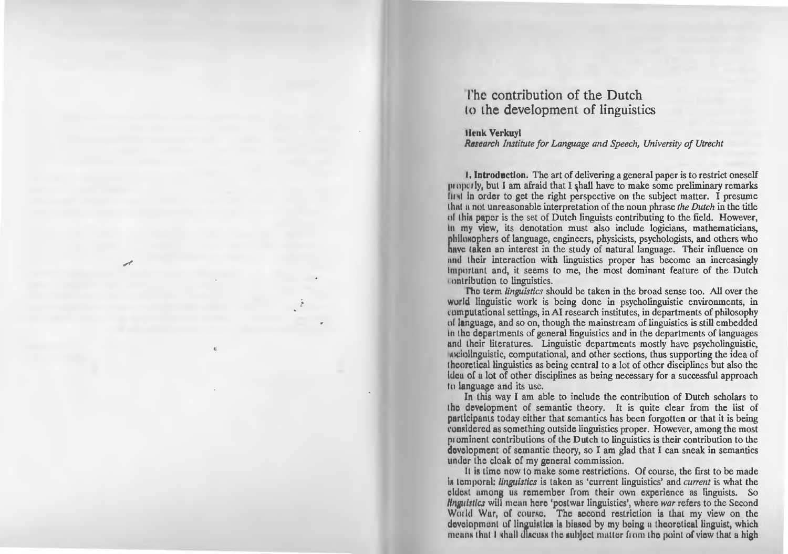The contribution of the Dutch lo the development of linguistics

### llcnk Verkuyl

**Research Institute for Language and Speech, University of Utrecht** 

I, Introduction. The art of delivering a general paper is to restrict oneself properly, but I am afraid that I shall have to make some preliminary remarks lingt in order to get the right perspective on the subject matter. I presume I hat a not unreasonable interpretation of the noun phrase *the Dutch* in the title of this paper is the set of Dutch linguists contributing to the field. However, In my view, its denotation must also include logicians, mathematicians, philosophers of language, engineers, physicists, psychologists, and others who have taken an interest in the study of natural language. Their influence on nntl their interaction with linguistics proper has become an increasingly Important and, it seems to me, the most dominant feature of the Dutch 1 contribution to linguistics.

fhc term *linguistics* should be taken in the broad sense too. All over the world linguistic work is being done in psycholinguistic environments, in 1 omputational settings, in AI research institutes, in departments of philosophy ol language, and so on, though the mainstream of linguistics is still embedded in the departments of general linguistics and in the departments of languages and their literatures. Linguistic departments mostly have psycholinguistic, uxiolinguistic, computational, and other sections, thus supporting the idea of I hcorelical linguistics as being central to a lot of other disciplines but also the iden of a lot of other disciplines as being necessary for a successful approach Io language and its use.

In this way I am able to include the contribution of Dutch scholars to the development of semantic theory. It is quite clear from the list of participants today either that semantics has been forgotten or that it is being considered as something outside linguistics proper. However, among the most prominent contributions of the Dutch to linguistics is their contribution to the development of semantic theory, so I am glad that I can sneak in semantics under the cloak of my general commission.

II is lime now to make some restrictions. Of course, the first to be made is temporal: *linguistics* is taken as 'current linguistics' and *current* is what the eldest among us remember from their own experience as linguists. So *linguistics* will mean here 'postwar linguistics', where *war* refers to the Second World War, of course. The second restriction is that my view on the development of linguistics is biased by my being a theoretical linguist, which means that I shall diacuss the subject matter from the point of view that a high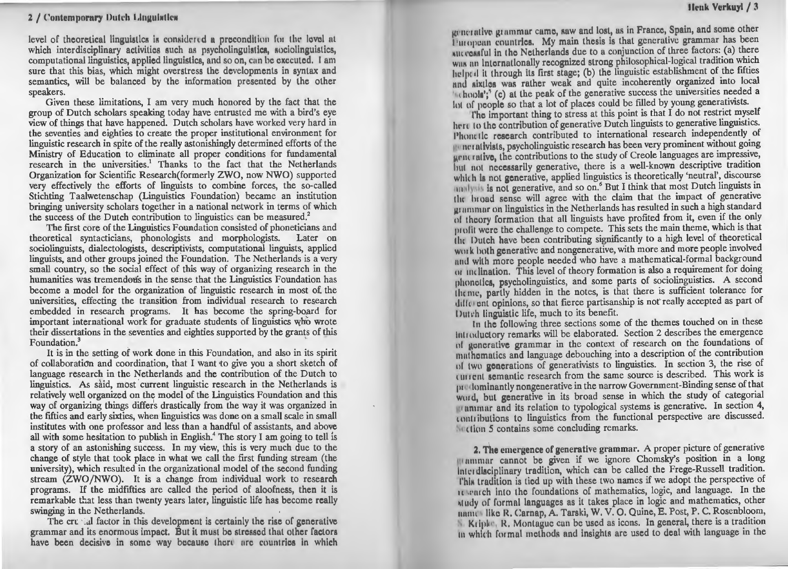level of theoretical linguistics is considered a precondition for the level at which interdisciplinary activities such as psycholinguistics, sociolinguistics, computational linguistics, applied linguistics, and so on, can he executed. I am sure that this bias, which might overstress the developments in syntax and semantics, will be balanced by the information presented by the other speakers.

Given these limitations, I am very much honored by the fact that the group of Dutch scholars speaking today have entrusted me with a bird's eye view of things that have happened. Dutch scholars have worked very hard in the seventies and eighties to create the proper institutional environment for linguistic research in spite of the really astonishingly determined efforts of the Ministry of Education to eliminate all proper conditions for fundamental research in the universities.<sup>1</sup> Thanks to the fact that the Netherlands Organization for Scientific Research(formerly ZWO, now NWO) supported very effectively the efforts of linguists to combine forces, the so-called Stichting Taalwetenschap (Linguistics Foundation) became an institution bringing university scholars together in a national network in terms of which the success of the Dutch contribution to linguistics can be measured. 2

The first core of the Linguistics Foundation consisted of phoneticians and theoretical syntacticians, phonologists and morphologists. Later on sociolinguists, dialectologists, descriptivists, computational linguists, applied linguists, and other groups joined the Foundation. The Netherlands is a very small country, so the social effect of this way of organizing research in the humanities was tremendous in the sense that the Linguistics Foundation has become a model for the organization of linguistic research in most of. the universities, effecting the transition from individual research to research embedded in research programs. It has become the spring-board for important international work for graduate students of linguistics who wrote their dissertations in the seventies and eighties supported by the grants of this Foundation.<sup>3</sup>

It is in the setting of work done in this Foundation, and also in its spirit of collaboratian and coordination, that I want •to give you a short sketch of language research in the Netherlands and the contribution of the Dutch to linguistics. As said, most current linguistic research in the Netherlands is relatively well organized on the model of the Linguistics Foundation and this way of organizing things differ's drastically from the way it was organized in the fifties and early sixties, when linguistics was done on a small scale in small institutes with one professor and less than a handful of assistants, and above all with some hesitation to publish in English.4 The story I am going to tell is a story of an astonishing success. In my view, this is very much due to the change of style that took place in what we call the first funding stream (the university), which resulted in the organizational model of the second funding stream (ZWO/NWO). It is a change from individual work to research programs. If the midfifties are called the period of aloofness, then it is remarkable that less than twenty years later, linguistic life has become really swinging in the Netherlands.

The  $cr<sub>i</sub>$  al factor in this development is certainly the rise of generative grammar and its enormous impact. But it must be stressed thut other factors have been decisive in some way because there are countries in which generative grammar came, saw and lost, as in France, Spain, and some other I uropean countries. My main thesis is that generative grammar has been wite veasful in the Netherlands due to a conjunction of three factors: (a) there was an Internationally recognized strong philosophical-logical tradition which helpt il it through its first stage; (b) the linguistic establishment of the fifties nnd sixtles was rather weak and quite incoherently organized into local  $\ln \text{chool}$ ;<sup>1</sup> (c) at the peak of the generative success the universities needed a lot of people so that a lot of places could be filled by young generativists.

l'he important thing to stress at this point is that I do not restrict myself here to the contribution of generative Dutch linguists to generative linguistics. l'honcile research contributed to international research independently of 1<sup>1</sup> netalivists, psycholinguistic research has been very prominent without going una rative, the contributions to the study of Creole languages are impressive, hut not necessarily generative, there is a well-known descriptive tradition which is not generative, applied linguistics is theoretically 'neutral', discourse <sup>111</sup>~ <sup>1</sup>is not generative, and so on. But I think that m.ost Dutch lmgmsts. m the broad sense will agree with the claim that the impact of generative grammar on linguistics in the Netherlands has resulted in such a high standard of theory formation that all linguists have profited from it, even if the only prolit were the challenge to compete. This sets the main theme, which is that the Dutch have been contributing significantly to a high level of theoretical work both generative and nongenerative, with more and more people involved and with more people needed who have a mathematical-formal background or inclination. This level of theory formation is also a requirement for doing phonetics, psycholinguistics, and some parts of sociolinguistics. A second the mr, partly hidden in the notes, is that there is sufficient tolerance for different opinions, so that fierce partisanship is not really accepted as part of Dutch linguistic life, much to its benefit.

In the following three sections some of the themes touched on m these Introductory remarks will be elaborated. Section 2 describes the emergence of generative grammar in the context of research on the foundations of mathomatics and language debouching into a description of the contribution  $11$  two generations of generativists to linguistics. In section 3, the rise of turrent semantic research from the same source is described. This work is predominantly nongenerative in the narrow Government-Binding sense of that word, but generative in its broad sense in which the study of categorial **Internative.** In section 4, In section 4, tnnliibutions to linguistics from the functional perspective are discussed. **Nection 5 contains some concluding remarks.** 

2. The emergence of generative grammar. A proper picture of generative **I'll numur cannot be given if we ignore Chomsky's position in a long** Interdisciplinary tradition, which can be called the Frege-Russell tradition. l'his tradition is tied up with these two names if we adopt the perspective of 1t ratch into the foundations of mathematics, logic, and language. In the 1tudy of formal languages as it takes place in logic and mathematics, other name like R. Carnap, A. Tarski, W. V. O. Quine, E. Post, P. C. Rosenbloom, Kripke, R. Montague can be used as icons. In general, there is a tradition in which formal methods and insights are used to deal with language in the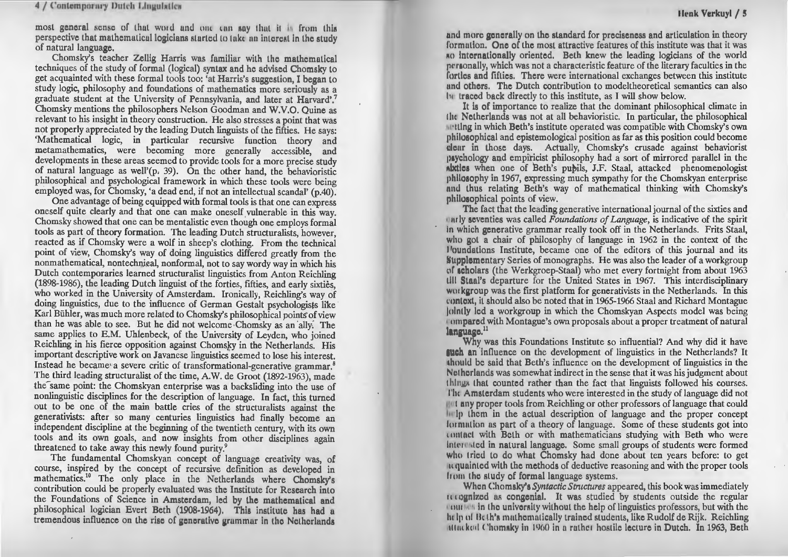most general sense of that word and one can say that it is from this perspective that mathematical logicians started to take an interest in the study of natural language.

Chomsky's teacher Zellig Harris was familiar with Lhc mathematical techniques of the study of formal (logical) syntax and he advised Chomsky to get acquainted with these formal tools too: 'at Harris's suggestion, I began to study logic, philosophy and foundations of mathematics more seriously as a graduate student at the University of Pennsylvania, and later at Harvard',<sup>7</sup> Chomsky mentions the philosophers Nelson Goodman and W.V.O. Quine as relevant to his insight in theory construction. He also stresses a point that was not properly appreciated by the leading Dutch linguists of the fifties. He says: 'Mathematical logic, in particular recursive function theory and metamathematics, were becoming more generally accessible, and developments in these areas seemed to provide tools for a more precise study of natural language as well' $(p_i 39)$ . On the other hand, the behavioristic philosophical and psychological framework in which these tools were being employed was, for Chomsky, 'a dead end, if not an intellectual scandal' (p.40).

One advantage of being equipped with formal tools is that one can express oneself quite clearly and that one can make oneself vulnerable in this way. Chomsky showed that one can be mentalistic even though one employs formal tools as part of theory formation. The leading Dutch structuralists, however, reacted as if Chomsky were a wolf in sheep's clothing. From the technical point of view, Chomsky's way of doing linguistics differed greatly from the nonmathematical, nontechnical, nonformal, not to say wordy way in which his Dutch contemporaries learned structuralist linguistics from Anton Reichling  $(1898-1986)$ , the leading Dutch linguist of the forties, fifties, and early sixties, who worked in the University of Amsterdam. Ironically, Reichling's way of doing linguistics, due to the influence of German Gestalt psychologists like Karl Bühler, was much more related to Chomsky's philosophical points of view than he was able to see. But he did not welcome Chomsky as an ally. The same applies to E.M. Uhlenbeck, of the University of Leyden, who joined Reichling in his fierce opposition against Chomsky in the Netherlands. His important descriptive work on Javanese linguistics seemed to lose his interest. Instead he became'a severe critic of transformational-generative grammar.<sup>8</sup> The third leading structuralist of the time, A.W. de Groot (1892-1963), made the same point: the Chomskyan enterprise was a backsliding into the use of nonlinguistic disciplines for the description of language. In fact, this turned out to be one of the main battle cries of the structuralists against the generativists: after so many centuries linguistics had finally become an independent discipline at the beginning of the twentieth century, with its own tools and its own goals, and now msights from other disciplines again threatened to take away this newly found purity.9

The fundamental Chomskyan concept of language creativity was, of course, inspired by the concept of recursive definition as developed in mathematics.<sup>10</sup> The only place in the Netherlands where Chomsky's contribution could be properly evaluated was the Institute for Research into the Foundations of Science in Amsterdam, led by the mathematical and philosophical logician Evert Beth (1908-1964). This institute has had a tremendous influence on the rise of generative grammar in the Netherlands

and more generally on the standard for preciseness and articulation in theory lormution. One of the most attractive features of this institute was that it was 110 internationally oriented. Beth knew the leading logicians of the world personally, which was not a characteristic feature of the literary faculties in the forties and fifties. There were international exchanges between this institute and others. The Dutch contribution to modeltheoretical semantics can also In traced back directly to this institute, as I will show below.

It is of importance to realize that the dominant philosophical climate in lht Netherlands was not at all behavioristic. In particular, the philosophical **I Ling in which Beth's institute operated was compatible with Chomsky's own** philosophical and epistemological position as far as this position could become <sup>1</sup>lcur in those days. Actually, Chomsky's crusade against behaviorist 1>1ychology an.d empiricist philosophy had a sort of mirrored parallel in the nixtles when one of Beth's pubils, J.F. Staal, attacked phenomenologist philosophy in 1967, expressing much sympathy for the Chomskyan enterprise nml thus relating Beth's way of mathematical thinking with Chomsky's philosophical points of view.

The fact that the leading generative international journal of the sixties and **unity seventies was called** *Foundations of Language*, is indicative of the spirit in which generative grammar really took off in the Netherlands. Frits Staal, who got a chair of philosophy of language in 1962 in the context of the I'oundations Institute, became one of the editors of this journal and its Supplementary Series of monographs. He was also the leader of a workgroup of scholars (the Werkgroep-Staal) who met every fortnight from about 1963 1111 Staal's departure for the United States in 1967. This interdisciplinary workgroup was the first platform for generativists in the Netherlands. In this contoxt, it should also be noted that in 1965-1966 Staal and Richard Montague lolnlly led a workgroup in which the Chomskyan Aspects model was being <sup>1</sup>ompared with Montague's own proposals about a proper treatment of natural language.<sup>11</sup>

Why was this Foundations Institute so influential? And why did it have **IUCh an** influence on the development of linguistics in the Netherlands? It thould be said that Beth's influence on the development of linguistics in the Netherlands was somewhat indirect in the sense that it was his judgment about things that counted rather than the fact that linguists followed his courses. I 'ht Amsterdam students who were interested in the study of language did not **If any proper tools from Reichling or other professors of language that could** III Ip them in the actual description of language and the proper concept lormation as part of a theory of language. Some of these students got into untact with Beth or with mathematicians studying with Beth who were intermied in natural language. Some small groups of students were formed who tried to do what Chomsky had done about ten years before: to get 11 quainted with the methods of deductive reasoning and with the proper tools Irom the study of formal language systems.

When Chomsky's *Syntactic Structures* appeared, this book was immediately 11 10 gnized as congenial. It was studied by students outside the regular courses in the university without the help of linguistics professors, but with the he Ip of Beth's mathematically trained students, like Rudolf de Rijk. Reichling 111acked Chomsky in 1960 in a rather hostile lecture in Dutch. In 1963, Beth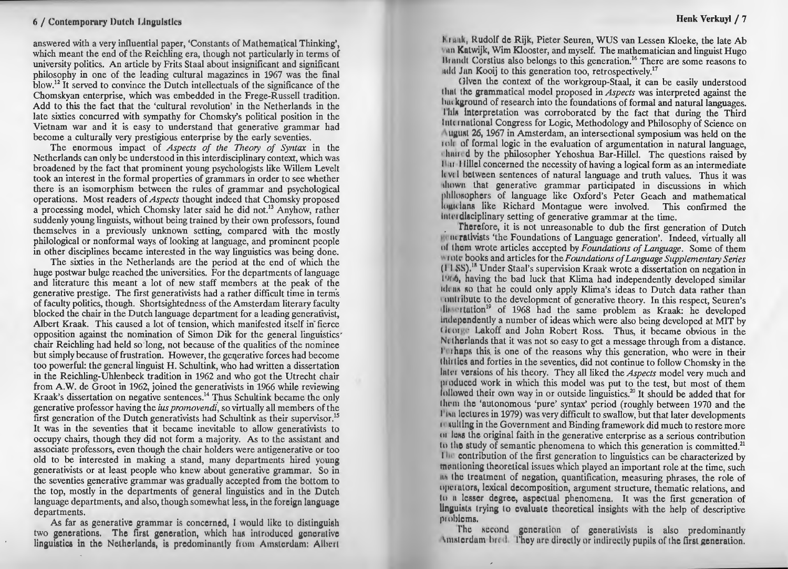answered with a very influential paper, 'Constants of Mathematical Thinking', which meant the end of the Reichling era, though not particularly in terms of university politics. An article by Frits Staal about insignificant and significant philosophy in one of the leading cultural magazines in 1967 was the final  $b$ low.<sup>12</sup>It served to convince the Dutch intellectuals of the significance of the Chomskyan enterprise, which was embedded in the Frege-Russell tradition. Add to this the fact that the 'cultural revolution' in the Netherlands in the late sixties concurred with sympathy for Chomsky's political position in the Vietnam war and it is easy to understand that generative grammar had become a culturally very prestigious enterprise by the early seventies.

The enormous impact of *Aspects of the Theory of Syntax* in the Netherlands can only be understood in this interdisciplinary context, which was broadened by the fact that prominent young psychologists like Willem Levelt took an interest in the formal properties of grammars in order to see whether there is an isomorphism between the rules of grammar and psychological operations. Most readers of *Aspects* thought indeed that Chomsky proposed a processing model, which Chomsky later said he did not.<sup>13</sup> Anyhow, rather suddenly young linguists, without being trained by their own professors, found themselves in a previously unknown setting, compared with the mostly philological or nonformal ways of looking at language, and prominent people in other disciplines became interested in the way linguistics was being done.

The sixties in the Netherlands are the period at the end of which the huge postwar bulge reached the universities. For the departments of language and literature this meant a lot of new staff members at the peak of the generative prestige. The first generativists had a rather difficult time in terms of faculty politics, though. Shortsightedness of the Amsterdam literary faculty blocked the chair in the Dutch language department for a leading generativist, Albert Kraak. This caused a lot of tension, which manifested itself in' fierce opposition against the nomination of Simon Dik for the general linguistics' chair Reichling had held so· long, not because of the qualities of the nominee but simply because of frustration. However, the generative forces had become too powerful: the general linguist H. Schultink, who had written a dissertation in the Reichling-Uhlenbeck tradition in 1962 and who got the Utrecht chair from AW. de Groot in 1962, joined the generativists in 1966 while reviewing Kraak's dissertation on negative sentences.<sup>14</sup> Thus Schultink became the only generative professor having the *ius promovendf,* so virtually all members of the first generation of the Dutch generativists had Schultink as their supervisor.<sup>15</sup> It was in the seventies that it became inevitable to allow generativists to occupy chairs, though they did not form a majority. As to the assistant and associate professors, even though the chair holders were antigenerative or too old to be interested in making a stand, many departments hired young generativists or at least people who knew about generative grammar. So in the seventies generative grammar was gradually accepted from the bottom to the top, mostly in the departments of general linguistics and in the Dutch language departments, and also, though somewhat less, in the foreign language departments.

As far as generative grammar is concerned, I would like to distinguish two generations. The first generation, which has introduced generative linguistics in the Netherlands, is predominantly from Amsterdam: Albert I· 1 1 , Rudolf de Rijk, Pieter Seuren, WUS van Lessen Kloeke the late Ab van Katwijk, Wim Klooster, and myself. The mathematician and linguist Hugo II nuldt Corstius also belongs to this generation.<sup>16</sup> There are some reasons to udd Jan Kooij to this generation too, retrospectively.<sup>17</sup>

Glven the context of the workgroup-Staal, it can be easily understood that the grammatical model proposed in *Aspects* was interpreted against the hackground of research into the foundations of formal and natural languages. I'lik interpretation was corroborated by the fact that during the Third International Congress for Logic, Methodology and Philosophy of Science on ugust 26, 1967 in Amsterdam, an intersectional symposium was held on the 10<sup>1</sup> of formal logic in the evaluation of argumentation in natural language, <sup>l</sup>h1111 • d by the philosopher Yehoshua Bar-Hillel. The questions raised by II at Hillel concerned the necessity of having a logical form as an intermediate h v1 I between sentences of natural language and truth values. Thus it was thown that generative grammar participated in discussions in which philosophers of language like Oxford's Peter Geach and mathematical louted lans like Richard Montague were involved. This confirmed the Interdisciplinary setting of generative grammar at the time.

Therefore, it is not unreasonable to dub the first generation of Dutch I III Incrativists 'the Foundations of Language generation'. Indeed, virtually all 111 them wrote articles accepted by *Foundations of Language.* Some of them 1 otc books and articles for the *Foundations of Language Supplementary Series*  (11 SS).<sup>18</sup> Under Staal's supervision Kraak wrote a dissertation on negation in I''6, having the bad luck that Klima had independently developed similar 1dens so that he could only apply Klima's ideas to Dutch data rather than toutribute to the development of generative theory. In this respect, Seuren's 1111 . 1 11 ution of 1968 had the same problem as Kraak: he developed 111dt'pendently a number of ideas which were also being developed at MIT by the 11 Lakoff and John Robert Ross. Thus, it became obvious in the Ni thcrlands that it was not so easy to get a message through from a distance. I'm haps this is one of the reasons why this generation, who were in their I hirties and forties in the seventies, did not continue to follow Chomsky in the <sup>1111</sup> 1•1 versions of his theory. They all hked the *Aspects* model very much and produced work in which this model was put to the test, but most of them lolluwcd their own way in or outside linguistics.20 It should be added that for lhrm the 'autonomous 'pure' syntax' period (roughly between 1970 and the I 1111 lectures in 1979) was very difficult to swallow, but that later developments 11 rnltlng in the Government and Binding framework did much to restore more  $\cdot$ 11 Iuns the original faith in the generative enterprise as a serious contribution to the study of semantic phenomena to which this generation is committed.<sup>21</sup> 11 contribution of the first generation to linguistics can be characterized by inentioning theoretical issues which played an important role at the time, such 11<sup>h</sup> the treatment of negation, quantification, measuring phrases, the role of uperators, lexical decomposition, argument structure, thematic relations, and 111 11 lesser degree, aspectual phenomena. It was the first generation of llnguists trying to evaluate theoretical insights with the help of descriptive problems.

The second generation of generativists is also predominantly Amsterdam bred. They are directly or indirectly pupils of the first generation.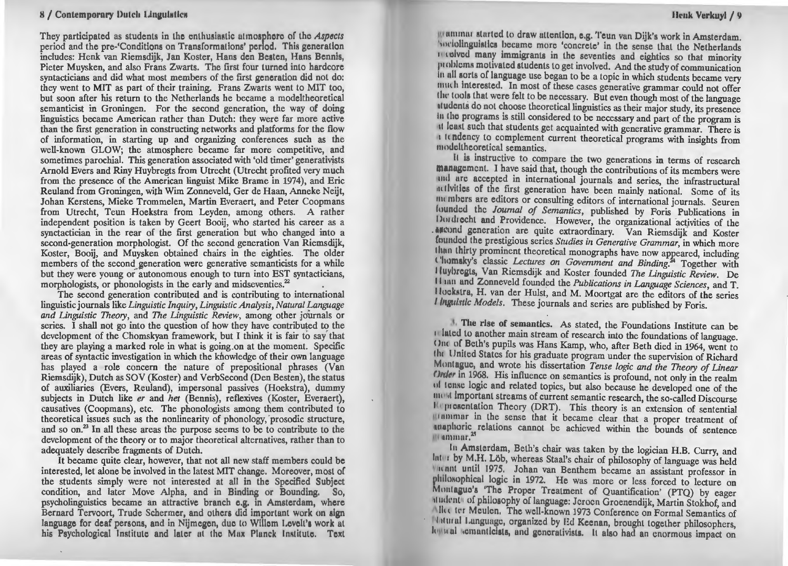They participated as students in the enthusiastic utmosphere of the *Aspects* period and the pre-'Conditions on Transformations' period. This generation includes: Henk van Riemsdijk, Jan Koster, Hans den Beaten, Hans Bennis, Pieter Muysken, and also Frans Zwarts. The first four turned into hardcore syntacticians and did what most members of the first generation did not do: they went to MIT as part of their training. Frans Zwarts went to MIT too, but soon after his return to the Netherlands he became a modeltheoretical semanticist in Groningen. For the second generation, the way of doing linguistics became American rather than Dutch: they were far more active than the first generation in constructing networks and platforms for the flow of information, in starting up and organizing conferences such as the well-known GLOW; the atmosphere became far more competitive, and sometimes parochial. This generation associated with 'old timer' generativists Arnold Evers and Riny Huybregts from Utrecht (Utrecht profited very much from the presence of the American linguist Mike Brame in 1974), and Eric Reuland from Groningen, with Wim Zonneveld, Ger de Haan, Anneke Neijt, Johan Kerstens, Mieke Trommelen, Martin Everaert, and Peter Coopmans from Utrecht, Teun Hoekstra from Leyden, among others. A rather independent position is taken by Geert Booij, who started his career as a synctactician in the rear of the first generation but who changed into a second-generation morphologist. Of the second generation Van Riemsdijk, Koster, Booij, and Muysken obtained chairs in the eighties. The older members of the second generation were generative semanticists for a while but they were young or autonomous enough to turn into EST syntacticians, morphologists, or phonologists in the early and midseventies.<sup>22</sup>

The second generation contributed and is contributing to international linguistic journals like *Linguistic Inquiry, Linguistic Analysis, Natural Language and Linguistic Theory,* and *The Linguistic Review,* among other journals or series. I shall not go into the question of how they have contributed to the development of the Chomskyan framework, but I think it is fair to say' that they are playing a marked role in what is going\_on at the moment. Specific areas of syntactic investigation in which the knowledge of their own language has played a role concern the nature of prepositional phrases (Van Riemsdijk), Dutch as SOV (Koster) and VerbSecond (Den Besten), the status of auxiliaries (Evers, Reuland), impersonal passives (Hoekstra), dummy subjects in Dutch like *er* and *het* (Bennis), reflexives (Koster, Everaert), causatives (Coopmans), etc. The phonologists among them contributed to theoretical issues such as the nonlinearity of phonology, prosodic structure, and so on.<sup>23</sup> In all these areas the purpose seems to be to contribute to the development of the theory or to major theoretical alternatives, rather than to adequately describe fragments of Dutch.

It became quite clear, however, that not all new staff members could be interested, let alone be involved in the latest MIT change. Moreover, most of the students simply were not interested at all in the Specified Subject condition, and later Move Alpha, and in Binding or Bounding. So, psycholinguistics became an attractive branch e.g. in Amsterdam, where Bernard Tervoort, Trude Schermer, and others did important work on sign language for deaf persons, and in Nijmegen, due to Willem Levelt's work at his Psychological Institute and later at the Max Planck Institute. Text

### Henk Verkuyl / 9

111111m111 11turted lo draw ullention, e.g. Teun van Dijk's work in Amsterdam. mortolinguistics became more 'concrete' in the sense that the Netherlands **11 unived many immigrants in the seventies and eighties so that minority** problems motivated students to get involved. And the study of communication in all sorts of language use began to be a topic in which students became very much interested. In most of these cases generative grammar could not offer the tools that were felt to be necessary. But even though most of the language atudents do not choose theoretical linguistics as their major study, its presence In the programs is still considered to be necessary and part of the program is 11 least such that students get acquainted with generative grammar. There is 1 It ndency to complement current theoretical programs with insights from modeltheoretical semantics.

It is instructive to compare the two generations in terms of research management. I have said that, though the contributions of its members were und are accepted in international journals and series, the infrastructural 111 lvitles of the. first generation have been mainly national. Some of its 1111 mhcrs are editors or consulting editors of international journals. Seuren founded the *Journal of Semantics*, published by Foris Publications in Dordrecht and Providence. However, the organizational activities of the . Incond generation are quite extraordinary. Van Riemsdijk and Koster founded the prestigious series *Studies in Generative Grammar* in which more than thirty prominent theoretical monographs have now appeared, including ('homsky's classic Lectures on Government and Binding.<sup>24</sup> Together with Iluybregts, Van Riemsdijk and Koster founded *The Linguistic Review*. De 1111111 und Zonneveld founded the *Publications in Language Sciences,* and T. Hockstra, H. van der Hulst, and M. Moortgat are the editors of the series *l Ingulstic Models.* These journals and series are published by Foris.

The rise of semantics. As stated, the Foundations Institute can be 1 lated to another main stream of research into the foundations of language. One of Beth's pupils was Hans Kamp, who, after Beth died in 1964, went to the United States for his graduate program under the supervision of Richard Montague, and wrote his dissertation *Tense logic and the Theory of Linear Order* in 1968. His influence on semantics is profound, not only in the realm of tense logic and related topics, but also because he developed one of the most important streams of current semantic research, the so-called Discourse Il prosentation Theory (DRT). This theory is an extension of sentential 11111111 11111 In the sense that it became clear that a proper treatment of **It applicate the conduct of sentence** within the bounds of sentence  $\lim_{n \to \infty}$ 

In Amsterdam, Beth's chair was taken by the logician H.B. Curry, and <sup>1111</sup> 1 1 by M:H. L6b, whereas Staal's chair of philosophy of language was held 111111t until 1975. Johan van Benthem became an assistant professor in philosophical logic in 1972. He was more or less forced to lecture on Montaguo's 'The Proper Treatment of Quantification' (PTQ) by eager 1l 11cl1· 111 • of philosophy of language: J eroen Groenendijk, Martin Stokhof, and Alice ter Meulen. The well-known 1973 Conference on Formal Semantics of Jutural Lunguage, organized by Ed Keenan, brought together philosophers, It all semanticists, and generativists. It also had an enormous impact on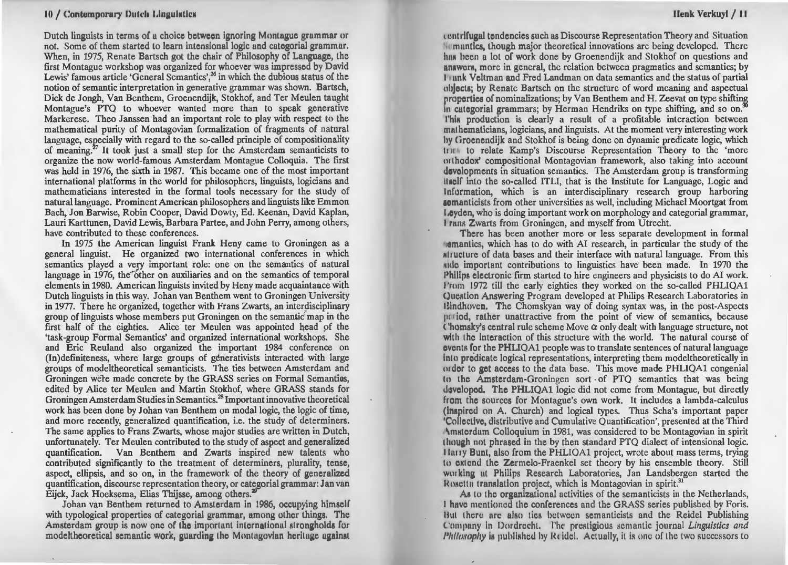Dutch linguists in terms of a choice between ignoring Montague grammar or not. Some of them started to learn intensional logic and categorial grammar. When, in 1975, Renate Bartsch got the chair of Philosophy of Language, the first Montague workshop was organized for whoever was impressed by David Lewis' famous article 'General Semantics',<sup>26</sup> in which the dubious status of the notion of semantic interpretation in generative grammar was shown. Bartsch, Dick de Jongh, Van Benthem, Groenendijk, Stokhof, and Ter Meulen taught Montague's PTO to whoever wanted more than to speak generative Markerese. Theo Janssen had an important role to play with respect to the mathematical purity of Montagovian formalization of fragments of natural language, especially with regard to the so-called principle of compositionality of meaning.<sup>27</sup> It took just a small step for the Amsterdam semanticists to organize the now world-famous Amsterdam Montague Colloquia. The first was held in 1976, the sixth in 1987. This became one of the most important international platforms in the world for philosophers, linguists, logicians and mathematicians interested in the formal tools necessary for the study of natural language. Prominent American philosophers and linguists like Emmon Bach, Jon Barwise, Robin Cooper, David Dowty, Ed. Keenan, David Kaplan, Lauri Karttunen, David Lewis, Barbara Partee, and John Perry, among others, have contributed to these conferences.

In 1975 the American linguist Frank Heny came to Groningen as a general linguist. He organized two international conferences in which semantics played a very important role: one on the semantics of natural language in 1976, the other on auxiliaries and on the semantics of temporal elements in 1980. American linguists invited by Reny made acquaintance with Dutch linguists in this way. Johan van Benthem went to Groningen University in 1977. There he organized, together with Frans Zwarts, an interdisciplinary group of linguists whose members put Groningen on the semantic' map in the first half of the eighties. Alice ter Meulen was appointed head of the 'task-group Formal Semantics' and organized international workshops. She and Eric Reuland also organized the important 1984 conference on (In)definiteness, where large groups of generativists interacted with large groups of modeltheoretical semanticists. The ties between Amsterdam and Groningen were made concrete by the GRASS series on Formal Semantios, edited by Alice ter Meulen and Martin Stokhof, where GRASS stands for GroningenAmsterdam Studies in Semantics. 28 Important innovative theoretical work has been done by Johan van Benthem on modal logic, the logic of time, and more recently, generalized quantification, i.e. the study of determiners. The same applies to Frans Zwarts, whose major studies are written in Dutch, unfortunately. Ter Meulen contributed to the study of aspect and generalized quantification. Van Benthem and Zwarts inspired new talents who contributed significantly to the treatment of determiners, plurality, tense, aspect, ellipsis, and so on, in the framework of the theory of generalized quantification, discourse representation theory, or categorial grammar: Jan van Eijck, Jack Hoeksema, Elias Thijsse, among others.<sup>2</sup>

Johan van Benthem returned to Amsterdam in 1986, occupying himself with typological properties of categorial grammar, umong other things. The Amsterdam group is now one of the importunt international strongholds for modeltheoretical semantic work, guarding the Montngovian heritage against

### Henk Verkuyl / <sup>11</sup>

11ml rlfugal tendencies such as Discourse Representation Theory and Situation  $N$ <sub>i</sub> muntles, though major theoretical innovations are being developed. There has been a lot of work done by Groenendijk and Stokhof on questions and nnawcrs, more in general, the relation between pragmatics and semantics; by I 111nk Veltman and Fred Landman on data semantics and the status of partial objects; by Renate Bartsch on the structure of word meaning and aspectual properties of nominalizations; by Van Benthem and H. Zeevat on type shifting In categorial grammars; by Herman Hendriks on type shifting, and so on.<sup>3</sup> l'his production is clearly a result of a profitable interaction between mulhematicians, logicians, and linguists. At the moment very interesting work hy Oroenendijk and Stokhof is being done on dynamic predicate logic, which 11<sup>1</sup> 10 relate Kamp's Discourse Representation Theory to the 'more outhodox' compositional Montagovian framework, also taking into account developments in situation semantics. The Amsterdam group is transforming 11 iclf into the so-called ITU, that is the Institute for Language, Logic and Information, which is an interdisciplinary research group harboring 1cmanticists from other universities as well, including Michael Moortgat from Leyden, who is doing important work on morphology and categorial grammar, I rans Zwarts from Groningen, and myself from Utrecht.

There has been another more or less separate development in formal semantics, which has to do with AI research, in particular the study of the 1111 uclure of data bases and their interface with natural language. From this ~ulc important contributions to linguistics have been made. In 1970 the Philips electronic firm started to hire engineers and physicists to do AI work. I *wm* 1972 till the early eighties they worked on the so-called PHLIQAl Ouestion Answering Program developed at Philips Research Laboratories in ltlndhoven. The Chomskyan way of doing syntax was, in the post-Aspects period, rather unattractive from the point of view of semantics, because  $\zeta$ 'homsky's central rule scheme Move  $\alpha$  only dealt with language structure, not with the interaction of this structure with the world. The natural course of events for the PHLIQA1 people was to translate sentences of natural language into predicate logical representations, interpreting them modeltheoretically in order to get access to the data base. This move made PHLIQA1 congenial lo lhc Amsterdam-Groningen sort · of PTO semantics that was being developed. The PHLIQA1 logic did not come from Montague, but directly from the sources for Montague's own work. It includes a lambda-calculus (inspired on A. Church) and logical types. Thus Scha's important paper Collective, distributive and Cumulative Quantification', presented at the Third Amsterdam Colloquium in 1981, was considered to be Montagovian in spirit I hough not phrased in the by then standard PTO dialect of intensional logic. 111111 y Bunt, also from the PHLIQAl project, wrote about mass terms, trying to extend the Zermelo-Fraenkel set theory by his ensemble theory. Still wm king ul Philips Research Laboratories, Jan Landsbergen started the Rosetta translation project, which is Montagovian in spirit.<sup>31</sup>

As to the organizational activities of the semanticists in the Netherlands, I have mentioned the conferences and the GRASS series published by Foris. But there are also ties between semanticists and the Reidel Publishing Company in Dordrocht. The prestigious semantic journal Linguistics and Company in Dordrecht. The prestigious semantic journal *Linguistics and Philosophy* is published by Reidel. Actually, it is one of the two successors to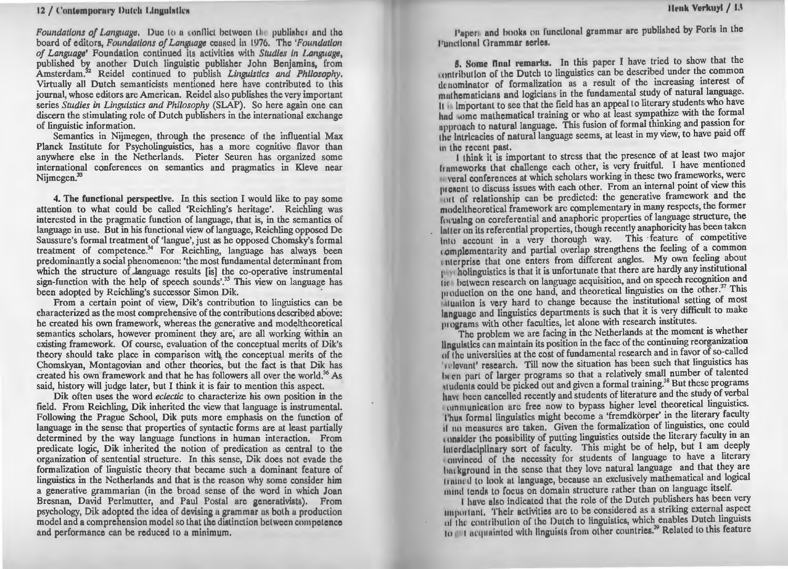*Foundations of Language.* Due to a conflict between the publisher and the board of editors, *Foundations of Language* ceased in 1976. The 'Foundation' of Language' Foundation continued its activities with *Studies in Language*, published by another Dutch linguistic publisher John Benjamins, from Amsterdam.<sup>32</sup> Reidel continued to publish *Linguistics and Philosophy*. Virtually all Dutch semanticists mentioned here have contributed to this journal, whose editors are American. Reidel also publishes the very important series *Studies in Linguistics and Philosophy* (SLAP). So here again one can discern the stimulating role of Dutch publishers in the international exchange of linguistic information.

Semantics in Nijmegen, through the presence of the influential Max Planck Institute for Psycholinguistics, has a more cognitive flavor than anywhere else in the Netherlands. Pieter Seuren has organized some international conferences on semantics and pragmatics in Kleve near Nijmegen.<sup>33</sup>

4. The functional perspective. In this section I would like to pay some attention to what could be called 'Reichling's heritage'. Reichling was interested in the pragmatic function of language, that is, in the semantics of language in use. But in his functional view of language, Reichling opposed De Saussure's formal treatment of 'langue', just as he opposed Chomsky's formal treatment of competence. $34$  For Reichling, language has always been predominantly a social phenomenon: 'the most fundamental determinant from which the structure of language results [is] the co-operative instrumental sign-function with the help of speech sounds'. $35$  This view on language has been adopted by Reichling's successor Simon Dik.

From a certain point of view, Dik's contribution to linguistics can be characterized as the most comprehensive of the contributions described above: he created his own framework, whereas the generative and model theoretical semantics scholars, however prominent they are, are all working within an existing framework. Of course, evaluation of the conceptual merits of Dik's theory should take place in comparison with the conceptual merits of the Chomskyan, Montagovian and other theories, but the fact is that Dik has created his own framework and that he has followers all over the world.<sup>36</sup> As said, history will judge later, but I think it is fair to mention this aspect.

Dik often uses the word *eclectic* to characterize his own position in the field. From Reichling, Dik inherited the view that language is instrumental. Following the Prague School, Dik puts more emphasis on the function of language in the sense that properties of syntactic forms are at least partially determined by the way language functions in human interaction. From predicate logic, Dile inherited the notion of predication as central to the organization of sentential structure. In this sense, Dik does not evade the formalization of linguistic theory that became such a dominant feature of linguistics in the Netherlands and that is the reason why some consider him a generative grammarian (in the broad sense of the word in which Joan Bresnan, David Perlmutter, and Paul Postal arc generativists). From psychology, Dik adopted the idea of devising a grammar as both a production model and a comprehension model so that the distinction bet ween competence and performance can be reduced to a minimum.

Paper and books on functional grammar arc published by Foris in the **Functional Grammar series.** 

**5. Some final remarks.** In this paper I have tried to show that the 1 contribution of the Dutch to linguistics can be described under the common denominator of formalization as a result of the increasing interest of muthematicians and logicians in the fundamental study of natural language. II in Important to see that the field has an appeal to literary students who have hnd some mathematical training or who at least sympathize with the formal npproach to natural language. This fusion of formal thinking and passion for the Intricacies of natural language seems, at least in my view, to have paid off

 $\frac{1}{1}$  think it is important to stress that the presence of at least two major It umoworks that challenge each other, is very fruitful. I have mentioned woral conferences at which scholars working in these two frameworks, were present to discuss issues with each other. From an internal point of view this out of relationship can be predicted: the generative framework and the mndellhcoretical framework are complementary in many respects, the former In using on coreferential and anaphoric properties of language structure, the  $l$ ntter on its referential properties, though recently anaphoricity has been taken lnlo account in a very thorough way. This ·feature of competitive complementarity and partial overlap strengthens the feeling of a common interprise that one enters from different angles. My own feeling about p v holinguistics is that it is unfortunate that there are hardly any institutional the between research on language acquisition, and on speech recognition and production on the one hand, and theoretical linguistics on the other.<sup>37</sup> This illuation is very hard to change because the institutional setting of most language and linguistics departments is such that it is very difficult to make programs with other faculties, let alone with research institutes.

The problem we are facing in the Netherlands at the moment is whether linguistics can maintain its position in the face of the continuing reorganization of the universities at the cost of fundamental research and in favor of so-called 1<sup>1</sup> I we want' research. Till now the situation has been such that linguistics has hen part of larger programs so that a relatively small number of talented students could be picked out and given a formal training.<sup>38</sup> But these programs have been cancelled recently and students of literature and the study of verbal unmunication arc free now to bypass higher level theoretical linguistics. l'hus formal linguistics might become a 'fremdkörper' in the literary faculty 11 110 measures are taken. Given the formalization of linguistics, one could consider the possibility of putting linguistics outside the literary faculty in an lutordisciplinary sort of faculty. This might be of help, but I am deeply numvinced of the necessity for students of language to have a literary hnt kground in the sense that they love natural language and that they are 1111111r d to look al language, because an exclusively mathematical a~d logical mind tends to focus on domain structure rather than on language itself.

I huve also indicated that the role of the Dutch publishers has been very imputtant. Their activities arc to be considered as a striking external aspect of the contribution of the Dutch to linguistics, which enables Dutch linguists to not acquainted with linguists from other countries.<sup>39</sup> Related to this feature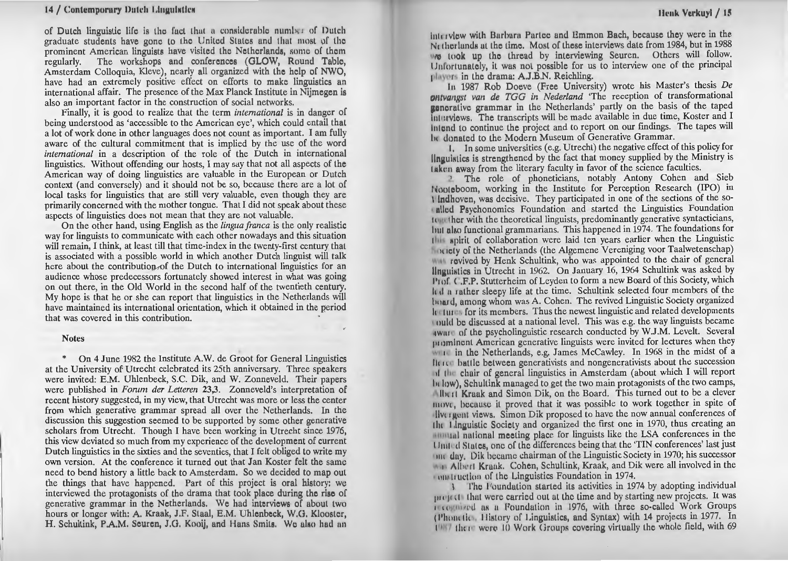of Dutch linguistic life is the fact that a considerable number of Dutch graduate students have gone to the United States and that most of the prominent American linguists have visited the Netherlands, some of them regularly. The workshops and conferences (GLOW, Round Table, Amsterdam Colloquia, Kleve), nearly all organized with lhe help of NWO, have had an extremely positive effect on efforts to make linguistics an international affair. The presence of the Max Planck Institute in Nijmegen is also an important factor in the construction of social networks.

Finally, it is good to realize that the term *international* is in danger of being understood as 'accessible to the American eye', which could entail that a lot of work done in other languages does not count as important. I am fully aware of the cultural commitment that is implied by the use of the word *international* in a description of the role of the Dutch in international linguistics. Without offending our hosts, I may say that not all aspects of the American way of doing linguistics are valuable in the European or Dutch context (and conversely) and it should not be so, because there are a lot of local tasks for linguistics that are still very valuable, even though they are primarily concerned with the mother tongue. That I did not speak about these aspects of linguistics does not mean that they are not valuable. . .

On the other hand, using English as the *lingua franca* is the only realistic way for linguists to communicate with each other nowadays and this situation will remain, I think, at least till that time-index in the twenty-first century that is associated with a possible world in which another Dutch linguist will talk here about the contribution of the Dutch to international linguistics for an audience whose predecessors fortunately showed interest in what was going on out there, in the Old World in the second half of the twentieth century. My hope is that he or she can report that linguistics in the Netherlands will have maintained its international orientation, which it obtained in the period that was covered in this contribution.

#### Notes

\* On 4 June 1982 the Institute A.W. de Groot for General Linguistics at the University of Utrecht celebrated its 25th anniversary. Three speakers were invited: E.M. Uhlenbeck, S.C. Dik, and W. Zonneveld. Their papers were published in *Forum der Letteren* 23,3. Zonneveld's interpretation of recent history suggested, in my view, that Utrecht was more or less the center from which generative grammar spread all over the Netherlands. In the discussion this suggestion seemed to be supported by some other generative scholars from Utrecht. Though I have been working in Utrecht since 1976, this view deviated so much from my experience of the development of current Dutch linguistics in the sixties and the seventies, that I felt obliged to write my own version. At the conference it turned out that Jan Koster felt the same need to bend history a little back to Amsterdam. So we decided to map oul the things that have happened. Part of this project is oral history: we interviewed the protagonists of the drama that took place during the rise of generative grammar in the Netherlands. We had interviews· of aboul two hours or longer with: A. Kraak, J.F. Staal, E.M. Uhlenbeck, W.<J. Klooster, H. Schultink, P.A.M. Seuren, J.G. Kooij, and Hans Smits. We also had an

interview with Barbara Partee and Emmon Bach, because they were in the Nt therlunds ut the time. Most of these interviews date from 1984, but in 1988 we took up the thread by interviewing Seuren. Others will follow. Unfortunately, it was not possible for us to interview one of the principal players in the drama: A.J.B.N. Reichling.

In 1987 Rob Doeve (Free University) wrote his Master's thesis De **ontvangst van de TGG in Nederland 'The reception of transformational generative grammar in the Netherlands' partly on the basis of the taped** inturviews. The transcripts will be made available in due time, Koster and I Intend lo continue the project and to report on our fmdmgs. The tapes will be donated to the Modern Museum of Generative Grammar.

1. In some universities (e.g. Utrecht) the negative effect of this policy for llnguistics is strengthened by the fact that money supplied by the Ministry is 1sken away from the literary faculty in favor of the science faculties.

<sup>2</sup> The role of phoneticians, notably Antony Cohen and Sieb Nooteboom, working in the Institute for Perception Research (IPO) in I indhoven, was decisive. They participated in one of the sections of the soalled Psychonomics Foundation and started the Linguistics Foundation 10 ther with the theoretical linguists, predominantly generative syntacticians, hut also functional grammarians. This happened in 1974. The foundations for 1111 spirit of collaboration were laid ten years earlier when the Linguistic **Fociety of the Netherlands (the Algemene Vereniging voor Taalwetenschap)** 11 revived by Henk Schultink, who was appointed to the chair of general llnguistics in Utrecht in 1962. On January 16, 1964 Schultink was asked by l'wf. ( .F.P. Stutterheim of Leyden to form a new Board of this Society, which <sup>11</sup> 11 11 rulher sleepy life at the time. Schultink selected four members of the hourd, among whom was A. Cohen. The revived Linguistic Society organized It turns for its members. Thus the newest linguistic and related developments 1 uuld be discussed at a national level. This was e.g. the way linguists became .iw111 of the psycholinguistic research conducted by W.J.M. Levelt. Several prominent American generative linguists were invited for lectures when they which in the Netherlands, e.g. James McCawley. In 1968 in the midst of a there battle between generativists and nongenerativists about the succession 11 11 chair of general linguistics in Amsterdam (about which I will report  $1<sub>N</sub>$  low), Schultink managed to get the two main protagonists of the two camps, **Illettle Kraak and Simon Dik, on the Board. This turned out to be a clever** move, because it proved that it was possible to work together in spite of llvt 1 gout views. Simon Dik proposed to have the now annual conferences of the 1,lnguistic Society and organized the first one in 1970, thus creating an 1111 1111 1111 1111 1111 1111 111 nullional meeting place for linguists like the LSA conferences in the United States, one of the differences being that the 'TIN conferences' last just Interactively the extra entertainment of the Linguistic Society in 1970; his successor **Albert Kraak. Cohen, Schultink, Kraak, and Dik were all involved in the** unture the Linguistics Foundation in 1974.

 $\parallel$  l'he l'oundation started its activities in 1974 by adopting individual project that were carried out at the time and by starting new projects. It was 1 cognized as a Foundation in 1976, with three so-called Work Groups (Phonetic History of Linguistics, and Syntax) with 14 projects in 1977. In 11 / there were 10 Work Groups covering virtually the whole field, with 69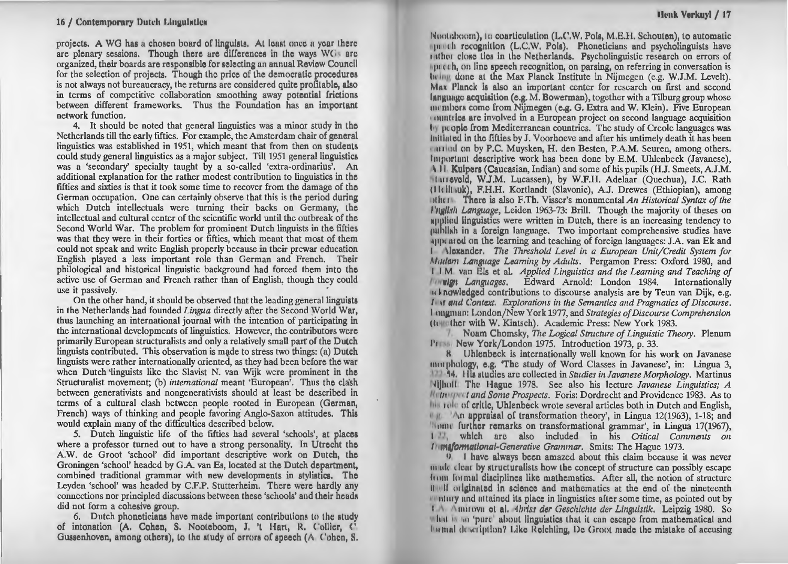projects. A WG has a chosen board of linguists. At least once a year there are plenary sessions. Though there are differences in the ways WCs are organized, their boards are responsible for selecting un annual Review Council for the selection of projects. Though the price of the democratic procedures is not always not bureaucracy, the returns are considered quite profitable, also in terms of competitive collaboration smoothing away potential frictions between different frameworks. Thus the Foundation has an important network function.

4. It should be noted that general linguistics was a minor study in the Netherlands till the early fifties. For example, the Amsterdam chair of general linguistics was established in 1951, which meant that from then on students could study general linguistics as a major subject. Till 1951 general linguistics was a 'secondary' specialty taught by a so-called 'extra-ordinarius'. An additional explanation for the rather modest contribution to linguistics in the fifties and sixties is that it took some time to recover from the damage of the German occupation. One can certainly observe that this is the period during which Dutch intellectuals were turning their backs on Germany, the intellectual and cultural center of the scientific world until the outbreak of the Second World War. The problem for prominent Dutch linguists in the fifties was that they were in their forties or fifties, which meant that most of them could not speak and write English properly because in their prewar education English played a less important role than German and French. Their philological and historical linguistic background had forced them into the active use of German and French rather than of English, though they could use it passively.

On the other hand, it should be observed that the leading general linguists in the Netherlands had founded *Lingua* directly after the Second World War, thus launching an international journal with the intention of participating in the international developments of linguistics. However, the contributors were primarily European structuralists and only a relatively small part of the Dutch linguists contributed. This observation is made to stress two things: (a) Dutch linguists were rather internationally oriented, as they had been before the war when Dutch 'linguists like the Slavist N. van Wijk were prominent in the Structuralist movement; (b) *intemational* meant 'European'. Thus the clash between generativists and nongenerativists should at least be described in terms of a cultural clash between people rooted in European (German, French) ways of thinking and people favoring. Anglo-Saxon attitudes. This would explain many of the difficulties described below.

*5.* Dutch linguistic life of the fifties had several 'schools', at places where a professor turned out to have a strong personality. In Utrecht the A.W. de Groot 'school' did important descriptive work on Dutch, the Groningen 'school' headed by GA. van Es, located at the Dutch department, combined traditional grammar with new developments in stylistics. The Leyden 'school' was headed by C.F.P. Stutterheim. There were hardly any connections nor principled discussions between these 'schools' and their heads did not form a cohesive group.

6. Dutch phoneticians have made important contributions to the study of intonation (A. Cohen, S. Nooteboom, J. 't Hart, R. Collicr, C. Gussenhoven, among others), to the study of errors of speech (A Cohen, S.

Nooteboom), 10 coarticulation (L.C.W. Pols, M.E.H. Schouten), to automatic  $\eta$  and the recognition (L.C.W. Pols). Phoneticians and psycholinguists have 1 11 the r close ties in the Netherlands. Psycholinguistic research on errors of  $\mathbb{F}$  except the speech recognition, on parsing, on referring in conversation is lu 10 done at the Max Planck Institute in Nijmegen (e.g. W.J.M. Levelt). Max Planck is also an important center for research on first and second  $\lambda$  language acquisition (e.g. M. Bowerman), together with a Tilburg group whose members come from Nijmegen (e.g. G. Extra and W. Klein). Five European **Interest involved in a European project on second language acquisition** Iv people from Mediterranean countries. The study of Creole languages was Initiated in the fifties by J. Voorhoeve and after his untimely death it has been **Farried on by P.C. Muysken, H. den Besten, P.A.M. Seuren, among others.** Importunt descriptive work has been done by E.M. Uhlenbeck (Javanese), 11 Kuipers (Caucasian, Indian) and some of his pupils (H.J. Smeets, A.J.M. I 111ovcld1 W.J.M. Lucassen), by W.F.H. Adelaar (Quechua), J.C. Rath 1 Ill Ill 11k), F.H.H. Kortlandt (Slavonic), A.J. Drewes (Ethiopian), among 1111111 There is also F.Th. Visser's monumental *An Historical Syntax of the*  1 '11/l//.1·/1 *L.011g11age,* Leiden 1963-73: Brill. Though the majority of theses on 111111lud linguistics were written in Dutch, there is an increasing tendency to publish in a foreign language. Two important comprehensive studies have 1p111111 ed on the learning and teaching of foreign languages: JA. van Ek and I lcxunder. *The Threshold Level in a European Unit/Credit System for*  M1>tlnm *l,a11g11age Leaming by Adults.* Pergamon Press: Oxford 1980, and I I M van Els et al. *Applied Linguistics and the Learning and Teaching of I III <i>Languages.* Edward Arnold: London 1984. Internationally 1. Inowledged contributions to discourse analysis are by Teun van Dijk, e.g. *I n and Context. Explorations in the Semantics and Pragmatics of Discourse.* I lllljlltlun: London/New York 1977, and *Strategies of Discourse Comprehension*  (lo~ <sup>1</sup>lhcr with W. Kintsch). Academic Press: New York 1983.

*I* Noam Chomsky, *771e Logical Structure of Linguistic Theory.* Plenum I 11 . New York/London 1975. Introduction 1973, p. 33.

H lJhlcnbeck is internationally well known for his work on Javanese 111111 phology, e.g. 'The study of Word Classes in Javanese', in: Lingua 3, **14. I lis studies arc collected in** *Studies in Javanese Morphology***. Martinus** 1 Illiull The Hague 1978. See also his lecture *Javanese Linguistics*; A 1 , 11v •11111 *t* and *Some Prospects.* Foris: Dordrecht and Providence 1983. As to 111. 10<sup>1</sup> 10<sup>1</sup> of critic, Uhlenbeck wrote several articles both in Dutch and English, **Formula** 12(1963), 1-18; and the 11 and the 12(1963), 1-18; and **Home further remarks on transformational grammar', in Lingua 17(1967),** I ''· which arc also included in his *Critical Comments on I 11 <i>Intermational-Generative Grammar.* Smits: The Hague 1973.

'' I huvc always been amazed about this claim because it was never 11111h l lt.1111 by structuralists how the concept of structure can possibly escape from formal disciplines like mathematics. After all, the notion of structure IIIIII originated in science and mathematics at the end of the nineteenth • 111111 *y* 1111d 11Uuincd its place in linguistics after some time, as pointed out by I 1111 Amnova et al. *Abriss der Geschichte der Linguistik*. Leipzig 1980. So **Heat is so 'pure' about linguistics that it can escape from mathematical and** I u null description? Like Reichling, De Groot made the mistake of accusing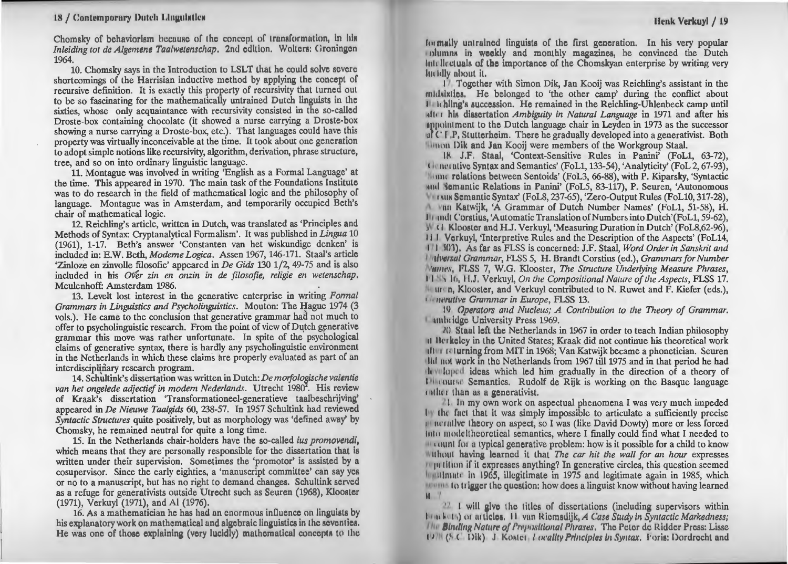### 18 / Contemporary Dutch Lingulation

Chomsky of behaviorism because of the concept of transformation, in his *Inleiding tot de Algemene Taalwetenschap.* 2nd edition. Wolters: Cironingon 1964.

10. Chomsky says in the Introduction to LSLT that he could solve severe shortcomings of the Harrisian inductive method by applying the concept of recursive definition. It is exactly this property of recursivity that turned out to be so fascinating for the mathematically untrained Dutch linguists in the sixties, whose only acquaintance with recursivity consisted in the so-called Droste-box containing chocolate (it showed a nurse carrying a Droste-box showing a nurse carrying a Droste-box, etc.). That languages could have this property was virtually inconceivable at the time. It took about one generation to adopt simple notions like recursivity, algorithm, derivation, phrase structure, tree, and so on into ordinary linguistic language.

11. Montague was involved in writing 'English as a Formal Language' at the time. This appeared in 1970. The main task of the Foundations Institute was to do research in the field of mathematical logic and the philosophy of language. Montague was in Amsterdam, and temporarily occupied Beth's chair of mathematical logic.

12. Reichling's article, written in Dutch, was translated as 'Principles and Methods of Syntax: Cryptanalytical Formalism'. It was published in *Lingua* 10  $(1961)$ , 1-17. Beth's answer 'Constanten van het wiskundige denken' is included in: E.W. Beth, *Moderne Logica.* Assen 1967, 146-171. Staal's article 'Zinloze en zinvolle filosofie' appeared in *De Gids* 130 1/2, 49-75 and is also included in his *Over zin en onzin in de filosofie, religie en wetenschap*. Meulenhoff: Amsterdam 1986.

13. Levelt lost interest in the generative enterprise in writing *Fonnal Grammars in Linguistics and Psycholinguistics.* Mouton: The Hague 1974 (3) vols.). He came to the conclusion that generative grammar had not much. to offer to psycholinguistic research. From the point of view of Dutch generative grammar this move was rather unfortunate. In spite of the psychological claims of generative syntax, there is hardly any psycholinguistic environment in the Netherlands in which these claims are properly evaluated as part of an interdisciplinary research program.

14. Schultink's dissertation was written in Dutch: *De morfologische valentie* van het ongelede adjectief in modern Nederlands. Utrecht 1980<sup>2</sup>. His review of Kraak's dissertation 'Transformationeel-generatieve taalbeschrijving' appeared in *De Nieuwe Taalgids* 60, 238-57. In 1957 Schultink had reviewed *Syntactic Strnctures* quite positively, but as morphology was 'defined away' by Chomsky, he remained neutral for quite a long time.

15. In the Netherlands chair-holders have the so-called *ius promovendi*, which means that they are personally responsible for the dissertation that is written under their supervision. Sometimes the 'promotor' is assisted by a cosupervisor. Since the early eighties, a 'manuscript committee' can say yes or no to a manuscript, but has no right to demand changes. Schultink served as a refuge for generativists outside Utrecht such as Seuren (1968), Klooster (1971), Verkuyl (1971), and Al (1976).

16. As a mathematician he has had an enormous influence on linguists by his explanatory work on mathematical and algebraic linguistics in the seventies. He was one of those explaining (very lucidly) mathematical concepts to the 1111 m11lly uni rained linguists of the first generation. In his very popular ulumns in weekly and monthly magazines, he convinced the Dutch intellectuals of the importance of the Chomskyan enterprise by writing very hu Idly ubout it.

I / Together with Simon Dik, Jan Kooij was Reichling's assistant in the midnixites. He belonged to 'the other camp' during the conflict about I h hllng's succession. He remained in the Reichling-Uhlenbeck camp until 111 1 hb1 dissertation *Ambiguity in Natural Language* in 1971 and after his 1ppolnlmcnt to the Dutch language chair in Leyden in 1973 as the successor  $\mathbb{R}^l$  ('I.P. Stutterheim. There he gradually developed into a generativist. Both 1111 111 l>ik and Jan Kooij were members of the Workgroup Staal.

IH J.F. Staal, 'Context-Sensitive Rules in Panini' (FoLl, 63-72), 1 1 11t•111Live Syntax and Semantics' (FoLl, 133-54), 'Analyticity' (FoL 2, 67-93), 11<sup>11111</sup> relations between Sentoids' (FoL3, 66-88), with P. Kiparsky, 'Syntactic 11111 icmantic Relations in Panini' (FoL5, 83-117), P. Seuren, 'Autonomous 1 11111 Semantic Syntax' (FoL8, 237-65), 'Zero-Output Rules (FoL10, 317-28), 1111 Matwijk, 'A Grammar of Dutch Number Names' (FoL1, 51-58), H. I 1 undt Corstius, 'Automatic Translation of Numbers into Dutch'(FoL1, 59-62), *)* c I Kluostcr and H.J. Verkuyl, 'Measuring Duration in Dutch' (FoLS,62-96), <sup>11</sup>f Verkuyl, 'Interpretive Rules and the Description of the Aspects' (FoL14, I I 1993). As far as FLSS is concerned: J.F. Staal, *Word Order in Sanskrit and* ' 1/l'lllWI *Grammar,* FLSS 5, H. Brandt Corstius (ed.), *Grammars for Number <i><u>14111r.1</u>*, **FLSS 7, W.G. Klooster,** *The Structure Underlying Measure Phrases,* I I , I , 11.J. Verkuyl, *On the Compositional Nature of the Aspects,* FLSS 17. 1111 Inch. Klooster, and Verkuyl contributed to N. Ruwet and F. Kiefer (eds.), *• Herative Grammar in Europe, FLSS 13.* 

I') *Operators and Nucleus; A Contribution to the Theory of Grammar.*  **Lambridge University Press 1969.** 

*!II* Staul left the Netherlands in 1967 in order to teach Indian philosophy 11 lie 1 keley in the United States; Kraak did not continue his theoretical work 111 1 1 •I urning from MIT in 1968; Van Katwijk became a phonetician. Seuren llil 1101 work in the Netherlands from 1967 till 1975 and in that period he had <sup>11</sup>1 l111 n ti ideas which led him gradually in the direction of a theory of I 11 111111 11 Semantics. Rudolf de Rijk is working on the Basque language 1 11111 1 1hun as a generativist.

<sup>21</sup>. In my own work on aspectual phenomena I was very much impeded I the fact that it was simply impossible to articulate a sufficiently precise 11 nerulive theory on aspect, so I was (like David Dowty) more or less forced 111111 111mlc llhcoretical semantics, where I finally could find what I needed to  $\mathbf{u}$  count for a typical generative problem: how is it possible for a child to know 11houl huving learned it that *The car hit the wall for an hour* expresses  $\mu$  putition if it expresses anything? In generative circles, this question seemed I 11 11 11 1965, illegitimate in 1975 and legitimate again in 1985, which **NUTHIST 10 trigger the question:** how does a linguist know without having learned  $II$   $I$ 

 $\mathbb{Z}$  I will give the titles of dissertations (including supervisors within **I ackets)** or articles. 11 van Riemsdijk, A Case Study in Syntactic Markedness; **110 Binding Nature of Prepositional Phrases. The Peter de Ridder Press: Lisse** I 1 { c l>ik) .I Kc • 11t•1 I *ocalltv* Prl11clplas /11 *Sy11ta.x .* I oris: Dortlrecht and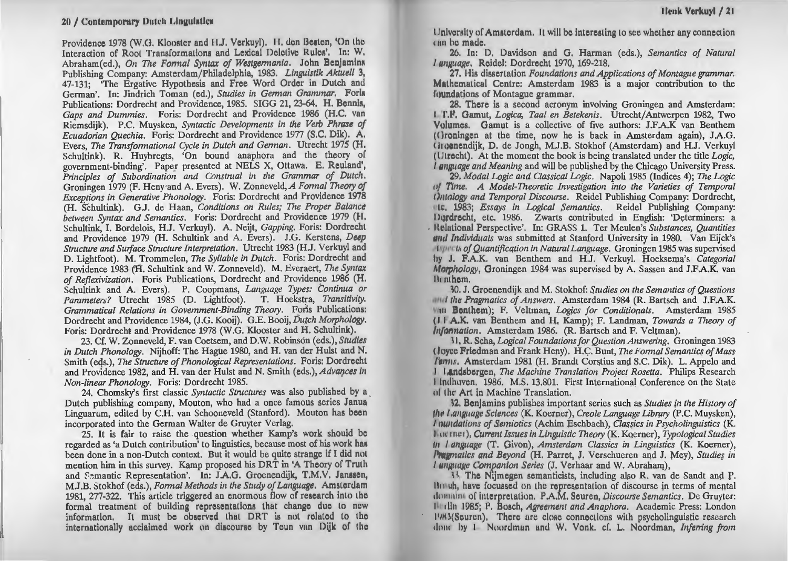### $20$  / Contemporary Dutch Lingulation

Providence 1978 (W.G. Klooster and H.J. Verkuyl). H. den Besten, 'On the Interaction of Root Transformations and Lexical Deletive Rules'. In: W, Abraham(ed.), *On The Formal Syntax of Westgermania*. John Benjamins Publishing Company: Amsterdam/Philadelphia, 1983. *Llngulstlk Aktuell* 3, 47-131; 'The Ergative Hypothesis and Free Word Order in Dutch and German'. In: Jindrich Toman (ed.), *Studies in German Grammar*. Forin Publications: Dordrecht and Providence, 1985. SIGG 21, 23-64. H. Bennis, *Gaps and Dummies.* Foris: Dordrecht and Providence 1986 (H.C. van Riemsdijk). P.C. Muysken, *Syntactic Developments in the Verb Phrase of Ecuadorian Quechia.* Foris: Dordrecht and Providence 1977 (S.C. Dik). A. Evers, *The Transformational Cycle in Dutch and German.* Utrecht 1975 (H. Schultink). R. Huybregts, 'On bound anaphora and the theory of government-binding'. Paper presented at NELS X, Ottawa. E. Reuland', Principles of Subordination and Construal in the Grammar of Dutch. Groningen 1979 (F. Heny·and A. Evers). W. Zonneveld,A *Formal Theory of Exceptions in Generative Phonology.* Foris: Dordrecht and Providence 1978 (H. S'chultink). G.J. de Haan, *Conditions on Rules; The Proper Balance between Syntax and Semantics.* Foris: Dordrecht and Providence 1979 (H, Schultink, I. Bordelois, H.J. Verkuyl). A. Neijt, *Gapping.* Foris: Dordrechl and Providence 1979 (H. Schultink and A. Evers). J.G. Kerstens, *Deep Structure and Swface Structure Interpretation.* Utrecht 1983 (H.J. Verkuyl and D. Lightfoot). M. Trommelen, *The Syllable in Dutch.* Foris: Dordrecht and Providence 1983 (H. Schultink and W. Zonneveld). M. Everaert, *The Syntax* of Reflexivization. Foris Publications, Dordrecht and Providence 1986 (H. Schultink and A. Evers). P. Coopmans, *Language Types: Continua or Parameters?* Utrecht 1985 (D. Lightfoot). T. Hoekstra, *Transitivity. Grammatica/ Relations in Government-Binding Theory.* Foris Publications: Dordrecht and Providence 1984, (J.G. Kooij). G.E. Booij, *Dutch Morphology.*  Foris: Dordrecht and Providence 1978 (W.G. Klooster and H. Schultink).

23. Cf. W. Zonneveld, F. van Coetsem, and D.W. Robinson (eds.), *Studies in Dutch Phonology.* Nijhoff: The Hague 1980, and H. van der Hulst and N. Smith (eqs.), *The Structure of Phonological Representations.* Foris: Dordrecht and Providence 1982, and H. van der Hulst and N. Smith (eds.), Advances in *Non-linear Phonology.* Foris: Dordrecht 1985.

24. Chomsky's first classic *Syntactic Structures* was also published by a . Dutch publishing company, Mouton, who had a once famous series Janua Linguarum, edited by C.H. van Schooneveld (Stanford). Mouton has been incorporated into the German Walter de Gruyter Verlag.

25. It is fair to raise the question whether Kamp's work should be regarded as 'a Dutch contribution' to linguistics, because most of his work has been done in a non-Dutch context. But it would be quite strange if I did nol mention him in this survey. Kamp proposed his DRT in 'A Theory of Truth and Semantic Representation'. In: J.A.G. Groenendijk, T.M.V. Janssen, · M.J.B. Stokhof (eds.), *Fomial Methods in the Study of Language.* Amsterdam 1981, 277-322. This article triggered an enormous flow of research into the formal treatment of building representations that change due to new information. It must be observed that DRT is not related to the internationally acclaimed work on discourse by Teun van Dijk of the University of Amsterdam. It will be interesting to see whether any connection can be made.

26. In: [), Davidson and G. Harman (eds.), *Semantics of Natural I u1111uage.* Reidel: Dordrecht 1970, 169-218.

27. His dissertation *Foundations and Applications of Montague grammar.*  Mathematical Centre: Amsterdam 1983 is a major contribution to the l'oundations of Montague grammar.

28. There is a second acronym involving Groningen and Amsterdam: I T.P. Gamut, *Logica, Taal en Betekenis.* Utrecht/Antwerpen 1982, Two Volumes. Gamut is a collective of five authors: J.FA.K van Benthem ({ ltoningen at the time, now he is back in Amsterdam again), JA.G. c laoenendijk, D. de Jongh, M.J.B. Stokhof (Amsterdam) and H.J. Verkuyl ( l ltrecht). At the moment the book is being translated under the title *Logic, I anguage and Meaning and will be published by the Chicago University Press.* 

29. *Modal Logic and Classical Logic.* Napoli 1985 (Indices 4); *The Logic*  of Time. A Model-Theoretic Investigation into the Varieties of Temporal *(Intology and Temporal Discourse. Reidel Publishing Company: Dordrecht,* h 1983; *Essays in Logical Semantics.* Reidel Publishing Company: Derdrecht, etc. 1986. Zwarts contributed in English: 'Determiners: a • 11 lutional Perspective'. In: GRASS 1. Ter Meulen's *Substances, Qµantities 1111tl Individuals* was submitted at Stanford University in 1980. Van Eijck's **If the alse of Quantification in Natural Language. Groningen 1985 was supervised** hy J. F.A.K. van Benthem and H.J. Verkuyl. Hoeksema's *Categorial Marphology, Groningen 1984 was supervised by A. Sassen and J.F.A.K. van* lk nthem.

~O. J, Groenendijk and M. Stokhof: *Studies on the Sema11tics of Questio11s* <sup>0</sup> <sup>111</sup> <sup>11</sup>*the Pragmatics of Answers.* Amsterdam 1984 (R. Bartsch and J.FA.K. 111 Benthem); F. Veltman, *Logics for Conditionals*. Amsterdam 1985 (I 11 A.K. van Benthem and 1-l. Kamp); F. Landman, *Towards a Theory of Information.* Amsterdam 1986. (R. Bartsch and F. Veltman).

\I, R. Seba, *Logical Foundations for Question Answering.* Groningen 1983 (loyce Friedman and Frank Heny). H.C. Bunt, *The Formal Semantics of Mass* l'erms. Amsterdam 1981 (H. Brandt Corstius and S.C. Dik). L. Appelo and I 1,andsbergen, *17ie Machine Translation Project Rosetta.* Philips Research I lndhoven. 1986. M.S. 13.801. first International Conference on the State of the Art in Machine Translation.

~2. Benjamins publishes important series such as *Studies in the History of ll111 I .a11guage Sciences* (K. Koerper), *Creole Language Library* (P.C. Muysken), *I* pundations of Semiotics (Achim Eschbach), *Classics in Psycholinguistics* (K. **I in thet), Current Issues in Linguistic Theory (K. Koerner),** *Typological Studies* III *I anguage* (T. Givon), *Amsterdam Classics in Linguistics* (K. Koerner), *l'ragmatics and Beyond* (H. Parret, J. Verschueren and J. Mey), Studies in *I unguage Companion Series (J. Verhaar and W. Abraham),* 

\ \ The Nijmegen semanticists, including also R. van de Sandt and f. 1111 11h, have focussed on the representation of discourse in terms of mental dominim of interpretation. P.A.M. Seuren, *Discourse Semantics*. De Gruyter: III din 1985; P. Bosch, *Agreement and Anaphora*. Academic Press: London 1983 (Seuren). There are close connections with psycholinguistic research 1l1111t hy I Noordman und W. Vonk. cf. L. Noordman, *Infe1ring from*